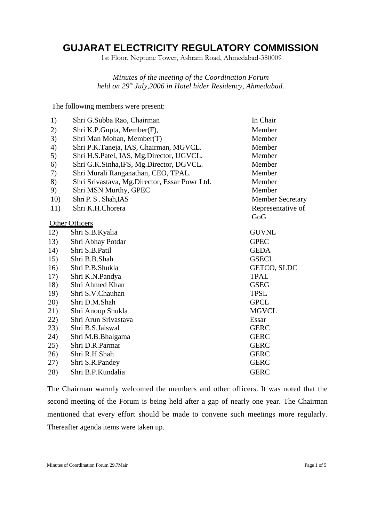# **GUJARAT ELECTRICITY REGULATORY COMMISSION**

1st Floor, Neptune Tower, Ashram Road, Ahmedabad-380009

*Minutes of the meeting of the Coordination Forum held on 29th July,2006 in Hotel hider Residency, Ahmedabad.*

The following members were present:

| 1)  | Shri G.Subba Rao, Chairman                    | In Chair                |
|-----|-----------------------------------------------|-------------------------|
| 2)  | Shri K.P.Gupta, Member(F),                    | Member                  |
| 3)  | Shri Man Mohan, Member(T)                     | Member                  |
| 4)  | Shri P.K.Taneja, IAS, Chairman, MGVCL.        | Member                  |
| 5)  | Shri H.S.Patel, IAS, Mg.Director, UGVCL.      | Member                  |
| 6)  | Shri G.K.Sinha, IFS, Mg.Director, DGVCL.      | Member                  |
| 7)  | Shri Murali Ranganathan, CEO, TPAL.           | Member                  |
| 8)  | Shri Srivastava, Mg.Director, Essar Powr Ltd. | Member                  |
| 9)  | Shri MSN Murthy, GPEC                         | Member                  |
| 10) | Shri P. S. Shah, IAS                          | <b>Member Secretary</b> |
| 11) | Shri K.H.Chorera                              | Representative of       |
|     |                                               | GoG                     |
|     | <b>Other Officers</b>                         |                         |
| 12) | Shri S.B.Kyalia                               | <b>GUVNL</b>            |
| 13) | Shri Abhay Potdar                             | <b>GPEC</b>             |
| 14) | Shri S.B.Patil                                | <b>GEDA</b>             |
| 15) | Shri B.B.Shah                                 | <b>GSECL</b>            |
| 16) | Shri P.B.Shukla                               | GETCO, SLDC             |
| 17) | Shri K.N.Pandya                               | <b>TPAL</b>             |
| 18) | Shri Ahmed Khan                               | <b>GSEG</b>             |
| 19) | Shri S.V.Chauhan                              | <b>TPSL</b>             |
| 20) | Shri D.M.Shah                                 | <b>GPCL</b>             |
| 21) | Shri Anoop Shukla                             | <b>MGVCL</b>            |
| 22) | Shri Arun Srivastava                          | Essar                   |
| 23) | Shri B.S.Jaiswal                              | <b>GERC</b>             |
| 24) | Shri M.B.Bhalgama                             | <b>GERC</b>             |
| 25) | Shri D.R.Parmar                               | <b>GERC</b>             |
| 26) | Shri R.H.Shah                                 | <b>GERC</b>             |
| 27) | Shri S.R.Pandey                               | <b>GERC</b>             |
| 28) | Shri B.P.Kundalia                             | <b>GERC</b>             |

The Chairman warmly welcomed the members and other officers. It was noted that the second meeting of the Forum is being held after a gap of nearly one year. The Chairman mentioned that every effort should be made to convene such meetings more regularly. Thereafter agenda items were taken up.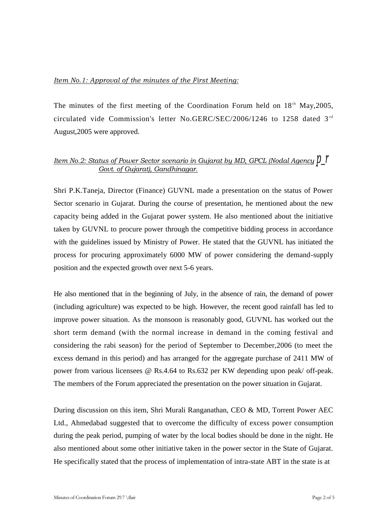## *Item No.1: Approval of the minutes of the First Meeting:*

The minutes of the first meeting of the Coordination Forum held on  $18<sup>th</sup>$  May, 2005, circulated vide Commission's letter No.GERC/SEC/2006/1246 to 1258 dated 3<sup>rd</sup> August,2005 were approved.

# *Item No.2: Status of Power Sector scenario in Gujarat by MD, GPCL (Nodal Agency*  $\beta$  *f Govt. of Gujarat), Gandhinagar.*

Shri P.K.Taneja, Director (Finance) GUVNL made a presentation on the status of Power Sector scenario in Gujarat. During the course of presentation, he mentioned about the new capacity being added in the Gujarat power system. He also mentioned about the initiative taken by GUVNL to procure power through the competitive bidding process in accordance with the guidelines issued by Ministry of Power. He stated that the GUVNL has initiated the process for procuring approximately 6000 MW of power considering the demand-supply position and the expected growth over next 5-6 years.

He also mentioned that in the beginning of July, in the absence of rain, the demand of power (including agriculture) was expected to be high. However, the recent good rainfall has led to improve power situation. As the monsoon is reasonably good, GUVNL has worked out the short term demand (with the normal increase in demand in the coming festival and considering the rabi season) for the period of September to December,2006 (to meet the excess demand in this period) and has arranged for the aggregate purchase of 2411 MW of power from various licensees @ Rs.4.64 to Rs.632 per KW depending upon peak/ off-peak. The members of the Forum appreciated the presentation on the power situation in Gujarat.

During discussion on this item, Shri Murali Ranganathan, CEO & MD, Torrent Power AEC Ltd., Ahmedabad suggested that to overcome the difficulty of excess power consumption during the peak period, pumping of water by the local bodies should be done in the night. He also mentioned about some other initiative taken in the power sector in the State of Gujarat. He specifically stated that the process of implementation of intra-state ABT in the state is at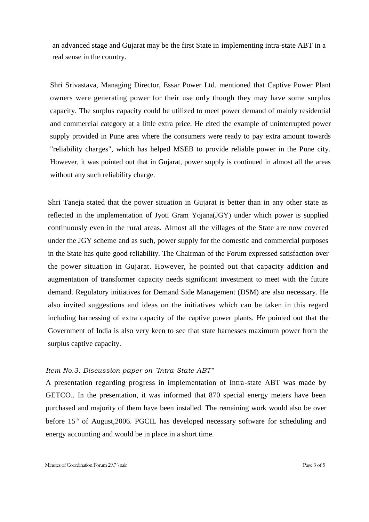an advanced stage and Gujarat may be the first State in implementing intra-state ABT in a real sense in the country.

Shri Srivastava, Managing Director, Essar Power Ltd. mentioned that Captive Power Plant owners were generating power for their use only though they may have some surplus capacity. The surplus capacity could be utilized to meet power demand of mainly residential and commercial category at a little extra price. He cited the example of uninterrupted power supply provided in Pune area where the consumers were ready to pay extra amount towards "reliability charges", which has helped MSEB to provide reliable power in the Pune city. However, it was pointed out that in Gujarat, power supply is continued in almost all the areas without any such reliability charge.

Shri Taneja stated that the power situation in Gujarat is better than in any other state as reflected in the implementation of Jyoti Gram Yojana(JGY) under which power is supplied continuously even in the rural areas. Almost all the villages of the State are now covered under the JGY scheme and as such, power supply for the domestic and commercial purposes in the State has quite good reliability. The Chairman of the Forum expressed satisfaction over the power situation in Gujarat. However, he pointed out that capacity addition and augmentation of transformer capacity needs significant investment to meet with the future demand. Regulatory initiatives for Demand Side Management (DSM) are also necessary. He also invited suggestions and ideas on the initiatives which can be taken in this regard including harnessing of extra capacity of the captive power plants. He pointed out that the Government of India is also very keen to see that state harnesses maximum power from the surplus captive capacity.

#### *Item No.3: Discussion paper on "Intra-State ABT"*

A presentation regarding progress in implementation of Intra-state ABT was made by GETCO.. In the presentation, it was informed that 870 special energy meters have been purchased and majority of them have been installed. The remaining work would also be over before  $15<sup>th</sup>$  of August, 2006. PGCIL has developed necessary software for scheduling and energy accounting and would be in place in a short time.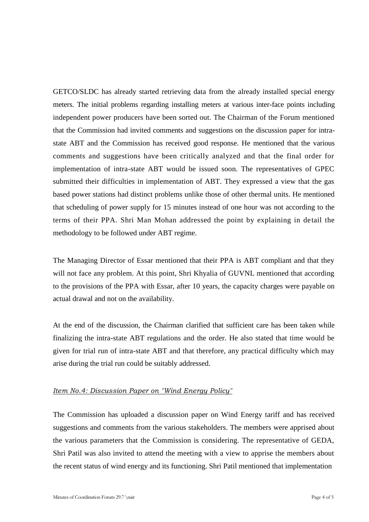GETCO/SLDC has already started retrieving data from the already installed special energy meters. The initial problems regarding installing meters at various inter-face points including independent power producers have been sorted out. The Chairman of the Forum mentioned that the Commission had invited comments and suggestions on the discussion paper for intrastate ABT and the Commission has received good response. He mentioned that the various comments and suggestions have been critically analyzed and that the final order for implementation of intra-state ABT would be issued soon. The representatives of GPEC submitted their difficulties in implementation of ABT. They expressed a view that the gas based power stations had distinct problems unlike those of other thermal units. He mentioned that scheduling of power supply for 15 minutes instead of one hour was not according to the terms of their PPA. Shri Man Mohan addressed the point by explaining in detail the methodology to be followed under ABT regime.

The Managing Director of Essar mentioned that their PPA is ABT compliant and that they will not face any problem. At this point, Shri Khyalia of GUVNL mentioned that according to the provisions of the PPA with Essar, after 10 years, the capacity charges were payable on actual drawal and not on the availability.

At the end of the discussion, the Chairman clarified that sufficient care has been taken while finalizing the intra-state ABT regulations and the order. He also stated that time would be given for trial run of intra-state ABT and that therefore, any practical difficulty which may arise during the trial run could be suitably addressed.

### *Item No.4: Discussion Paper on "Wind Energy Policy"*

The Commission has uploaded a discussion paper on Wind Energy tariff and has received suggestions and comments from the various stakeholders. The members were apprised about the various parameters that the Commission is considering. The representative of GEDA, Shri Patil was also invited to attend the meeting with a view to apprise the members about the recent status of wind energy and its functioning. Shri Patil mentioned that implementation